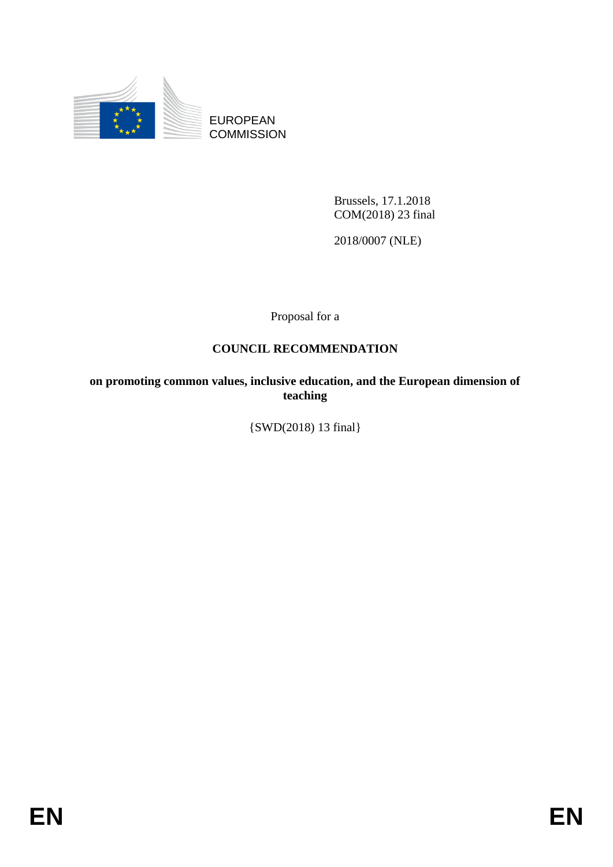

EUROPEAN **COMMISSION** 

> Brussels, 17.1.2018 COM(2018) 23 final

2018/0007 (NLE)

Proposal for a

# **COUNCIL RECOMMENDATION**

**on promoting common values, inclusive education, and the European dimension of teaching**

{SWD(2018) 13 final}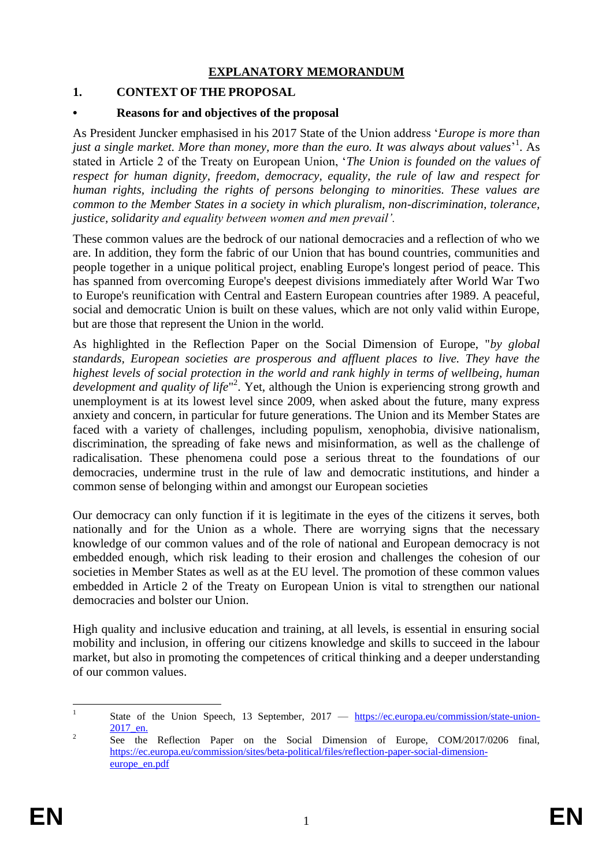## **EXPLANATORY MEMORANDUM**

## **1. CONTEXT OF THE PROPOSAL**

### **• Reasons for and objectives of the proposal**

As President Juncker emphasised in his 2017 State of the Union address '*Europe is more than*  just a single market. More than money, more than the euro. It was always about values<sup>,1</sup>. As stated in Article 2 of the Treaty on European Union, '*The Union is founded on the values of respect for human dignity, freedom, democracy, equality, the rule of law and respect for human rights, including the rights of persons belonging to minorities. These values are common to the Member States in a society in which pluralism, non-discrimination, tolerance, justice, solidarity and equality between women and men prevail'.*

These common values are the bedrock of our national democracies and a reflection of who we are. In addition, they form the fabric of our Union that has bound countries, communities and people together in a unique political project, enabling Europe's longest period of peace. This has spanned from overcoming Europe's deepest divisions immediately after World War Two to Europe's reunification with Central and Eastern European countries after 1989. A peaceful, social and democratic Union is built on these values, which are not only valid within Europe, but are those that represent the Union in the world.

As highlighted in the Reflection Paper on the Social Dimension of Europe, "*by global standards, European societies are prosperous and affluent places to live. They have the highest levels of social protection in the world and rank highly in terms of wellbeing, human*  development and quality of life<sup>"2</sup>. Yet, although the Union is experiencing strong growth and unemployment is at its lowest level since 2009, when asked about the future, many express anxiety and concern, in particular for future generations. The Union and its Member States are faced with a variety of challenges, including populism, xenophobia, divisive nationalism, discrimination, the spreading of fake news and misinformation, as well as the challenge of radicalisation. These phenomena could pose a serious threat to the foundations of our democracies, undermine trust in the rule of law and democratic institutions, and hinder a common sense of belonging within and amongst our European societies

Our democracy can only function if it is legitimate in the eyes of the citizens it serves, both nationally and for the Union as a whole. There are worrying signs that the necessary knowledge of our common values and of the role of national and European democracy is not embedded enough, which risk leading to their erosion and challenges the cohesion of our societies in Member States as well as at the EU level. The promotion of these common values embedded in Article 2 of the Treaty on European Union is vital to strengthen our national democracies and bolster our Union.

High quality and inclusive education and training, at all levels, is essential in ensuring social mobility and inclusion, in offering our citizens knowledge and skills to succeed in the labour market, but also in promoting the competences of critical thinking and a deeper understanding of our common values.

 $\frac{1}{1}$ State of the Union Speech, 13 September, 2017 — [https://ec.europa.eu/commission/state-union-](https://ec.europa.eu/commission/state-union-2017_en)[2017\\_en.](https://ec.europa.eu/commission/state-union-2017_en)

<sup>2</sup> See the Reflection Paper on the Social Dimension of Europe, COM/2017/0206 final, https://ec.europa.eu/commission/sites/beta-political/files/reflection-paper-social-dimensioneurope\_en.pdf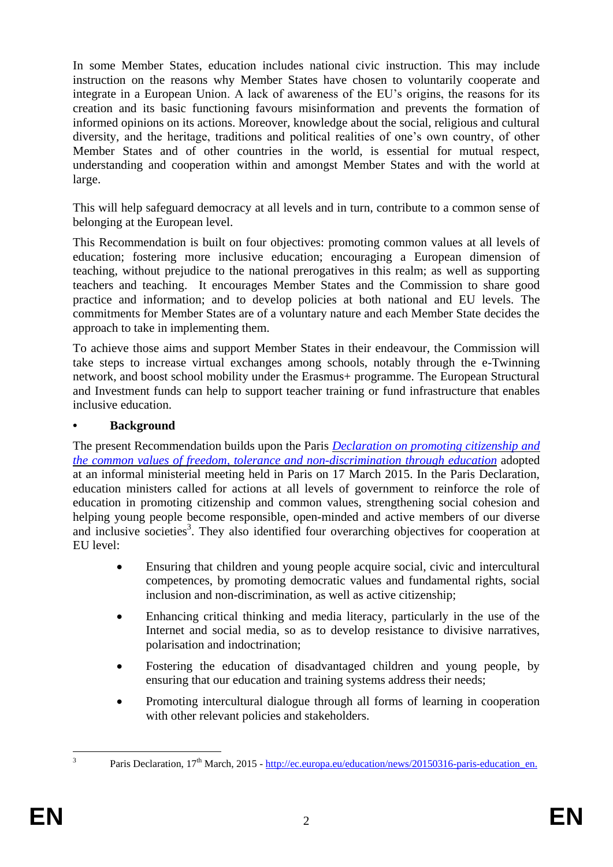In some Member States, education includes national civic instruction. This may include instruction on the reasons why Member States have chosen to voluntarily cooperate and integrate in a European Union. A lack of awareness of the EU's origins, the reasons for its creation and its basic functioning favours misinformation and prevents the formation of informed opinions on its actions. Moreover, knowledge about the social, religious and cultural diversity, and the heritage, traditions and political realities of one's own country, of other Member States and of other countries in the world, is essential for mutual respect, understanding and cooperation within and amongst Member States and with the world at large.

This will help safeguard democracy at all levels and in turn, contribute to a common sense of belonging at the European level.

This Recommendation is built on four objectives: promoting common values at all levels of education; fostering more inclusive education; encouraging a European dimension of teaching, without prejudice to the national prerogatives in this realm; as well as supporting teachers and teaching. It encourages Member States and the Commission to share good practice and information; and to develop policies at both national and EU levels. The commitments for Member States are of a voluntary nature and each Member State decides the approach to take in implementing them.

To achieve those aims and support Member States in their endeavour, the Commission will take steps to increase virtual exchanges among schools, notably through the e-Twinning network, and boost school mobility under the Erasmus+ programme. The European Structural and Investment funds can help to support teacher training or fund infrastructure that enables inclusive education.

### **• Background**

The present Recommendation builds upon the Paris *[Declaration](http://ec.europa.eu/dgs/education_culture/repository/education/news/2015/documents/citizenship-education-declaration_en.pdf) on promoting citizenship and the common values of freedom, tolerance and [non-discrimination](http://ec.europa.eu/dgs/education_culture/repository/education/news/2015/documents/citizenship-education-declaration_en.pdf) through education* adopted at an informal ministerial meeting held in Paris on 17 March 2015. In the Paris Declaration, education ministers called for actions at all levels of government to reinforce the role of education in promoting citizenship and common values, strengthening social cohesion and helping young people become responsible, open-minded and active members of our diverse and inclusive societies<sup>3</sup>. They also identified four overarching objectives for cooperation at EU level:

- Ensuring that children and young people acquire social, civic and intercultural competences, by promoting democratic values and fundamental rights, social inclusion and non-discrimination, as well as active citizenship;
- Enhancing critical thinking and media literacy, particularly in the use of the Internet and social media, so as to develop resistance to divisive narratives, polarisation and indoctrination;
- Fostering the education of disadvantaged children and young people, by ensuring that our education and training systems address their needs;
- Promoting intercultural dialogue through all forms of learning in cooperation with other relevant policies and stakeholders.

 $\frac{1}{3}$ 

Paris Declaration, 17<sup>th</sup> March, 2015 - [http://ec.europa.eu/education/news/20150316-paris-education\\_en.](http://ec.europa.eu/education/news/20150316-paris-education_en)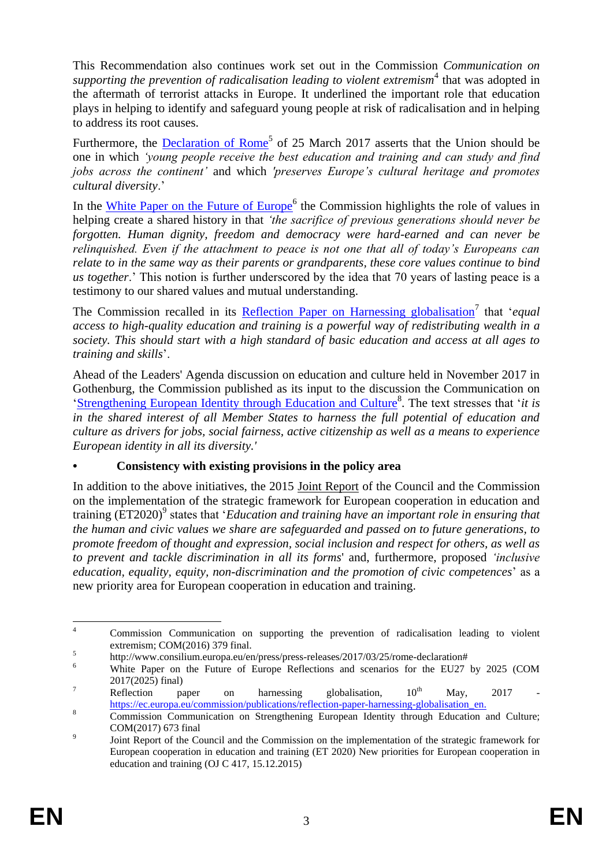This Recommendation also continues work set out in the Commission *Communication on*  supporting the prevention of radicalisation leading to violent extremism<sup>4</sup> that was adopted in the aftermath of terrorist attacks in Europe. It underlined the important role that education plays in helping to identify and safeguard young people at risk of radicalisation and in helping to address its root causes.

Furthermore, the **Declaration of Rome<sup>5</sup>** of 25 March 2017 asserts that the Union should be one in which *'young people receive the best education and training and can study and find jobs across the continent'* and which *'preserves Europe's cultural heritage and promotes cultural diversity*.'

In the [White Paper on the Future of Europe](https://ec.europa.eu/commission/sites/beta-political/files/white_paper_on_the_future_of_europe_en.pdf)<sup>6</sup> the Commission highlights the role of values in helping create a shared history in that *'the sacrifice of previous generations should never be forgotten. Human dignity, freedom and democracy were hard-earned and can never be relinquished. Even if the attachment to peace is not one that all of today's Europeans can relate to in the same way as their parents or grandparents, these core values continue to bind us together*.' This notion is further underscored by the idea that 70 years of lasting peace is a testimony to our shared values and mutual understanding.

The Commission recalled in its **[Reflection Paper on Harnessing globalisation](https://ec.europa.eu/commission/publications/reflection-paper-harnessing-globalisation_en)**<sup>7</sup> that '*equal access to high-quality education and training is a powerful way of redistributing wealth in a society. This should start with a high standard of basic education and access at all ages to training and skills*'.

Ahead of the Leaders' Agenda discussion on education and culture held in November 2017 in Gothenburg, the Commission published as its input to the discussion the Communication on ['Strengthening European Identity through Education and Culture](https://ec.europa.eu/commission/sites/beta-political/files/communication-strengthening-european-identity-education-culture_en.pdf)<sup>8</sup> . The text stresses that '*it is in the shared interest of all Member States to harness the full potential of education and culture as drivers for jobs, social fairness, active citizenship as well as a means to experience European identity in all its diversity.'*

### **• Consistency with existing provisions in the policy area**

In addition to the above initiatives, the 2015 [Joint Report](http://ec.europa.eu/dgs/education_culture/repository/education/documents/et-2020-draft-joint-report-408-2015_en.pdf) of the Council and the Commission on the implementation of the strategic framework for European cooperation in education and training (ET2020)<sup>9</sup> states that '*Education and training have an important role in ensuring that the human and civic values we share are safeguarded and passed on to future generations, to promote freedom of thought and expression, social inclusion and respect for others, as well as to prevent and tackle discrimination in all its forms*' and, furthermore, proposed *'inclusive education, equality, equity, non-discrimination and the promotion of civic competences*' as a new priority area for European cooperation in education and training.

 $\overline{A}$ <sup>4</sup> Commission Communication on supporting the prevention of radicalisation leading to violent extremism; COM(2016) 379 final. 5

http://www.consilium.europa.eu/en/press/press-releases/2017/03/25/rome-declaration#

<sup>&</sup>lt;sup>6</sup> White Paper on the Future of Europe Reflections and scenarios for the EU27 by 2025 (COM 2017(2025) final)

<sup>&</sup>lt;sup>7</sup> Reflection paper on harnessing globalisation,  $10^{th}$  May,  $2017$ [https://ec.europa.eu/commission/publications/reflection-paper-harnessing-globalisation\\_en.](https://ec.europa.eu/commission/publications/reflection-paper-harnessing-globalisation_en)

<sup>&</sup>lt;sup>8</sup> Commission Communication on Strengthening European Identity through Education and Culture; COM(2017) 673 final

 $\overline{9}$ Joint Report of the Council and the Commission on the implementation of the strategic framework for European cooperation in education and training (ET 2020) New priorities for European cooperation in education and training (OJ C 417, 15.12.2015)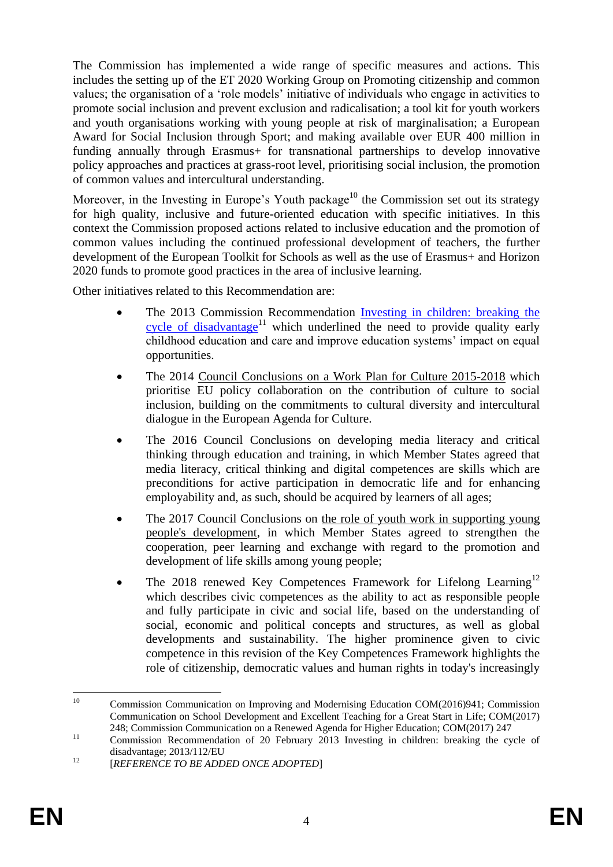The Commission has implemented a wide range of specific measures and actions. This includes the setting up of the ET 2020 Working Group on Promoting citizenship and common values; the organisation of a 'role models' initiative of individuals who engage in activities to promote social inclusion and prevent exclusion and radicalisation; a tool kit for youth workers and youth organisations working with young people at risk of marginalisation; a European Award for Social Inclusion through Sport; and making available over EUR 400 million in funding annually through Erasmus+ for transnational partnerships to develop innovative policy approaches and practices at grass-root level, prioritising social inclusion, the promotion of common values and intercultural understanding.

Moreover, in the Investing in Europe's Youth package<sup>10</sup> the Commission set out its strategy for high quality, inclusive and future-oriented education with specific initiatives. In this context the Commission proposed actions related to inclusive education and the promotion of common values including the continued professional development of teachers, the further development of the European Toolkit for Schools as well as the use of Erasmus+ and Horizon 2020 funds to promote good practices in the area of inclusive learning.

Other initiatives related to this Recommendation are:

- The 2013 Commission Recommendation [Investing in children: breaking the](http://eur-lex.europa.eu/legal-content/EN/ALL/?uri=CELEX%3A32013H0112)  [cycle of disadvantage](http://eur-lex.europa.eu/legal-content/EN/ALL/?uri=CELEX%3A32013H0112)<sup>11</sup> which underlined the need to provide quality early childhood education and care and improve education systems' impact on equal opportunities.
- The 2014 Council Conclusions on a Work Plan for Culture 2015-2018 which prioritise EU policy collaboration on the contribution of culture to social inclusion, building on the commitments to cultural diversity and intercultural dialogue in the European Agenda for Culture.
- The 2016 [Council Conclusions on developing media literacy and critical](http://data.consilium.europa.eu/doc/document/ST-9641-2016-INIT/en/pdf)  [thinking through education and training,](http://data.consilium.europa.eu/doc/document/ST-9641-2016-INIT/en/pdf) in which Member States agreed that media literacy, critical thinking and digital competences are skills which are preconditions for active participation in democratic life and for enhancing employability and, as such, should be acquired by learners of all ages;
- The 2017 [Council Conclusions on the role of youth work in supporting young](http://data.consilium.europa.eu/doc/document/ST-8033-2017-INIT/en/pdf)  [people's development,](http://data.consilium.europa.eu/doc/document/ST-8033-2017-INIT/en/pdf) in which Member States agreed to strengthen the cooperation, peer learning and exchange with regard to the promotion and development of life skills among young people;
- The 2018 renewed Key Competences Framework for Lifelong Learning<sup>12</sup> which describes civic competences as the ability to act as responsible people and fully participate in civic and social life, based on the understanding of social, economic and political concepts and structures, as well as global developments and sustainability. The higher prominence given to civic competence in this revision of the Key Competences Framework highlights the role of citizenship, democratic values and human rights in today's increasingly

 $10<sup>1</sup>$ <sup>10</sup> Commission Communication on Improving and Modernising Education COM(2016)941; Commission Communication on School Development and Excellent Teaching for a Great Start in Life; COM(2017) 248; Commission Communication on a Renewed Agenda for Higher Education; COM(2017) 247

<sup>&</sup>lt;sup>11</sup> Commission Recommendation of 20 February 2013 Investing in children: breaking the cycle of disadvantage; 2013/112/EU

<sup>&</sup>lt;sup>12</sup> [*REFERENCE TO BE ADDED ONCE ADOPTED*]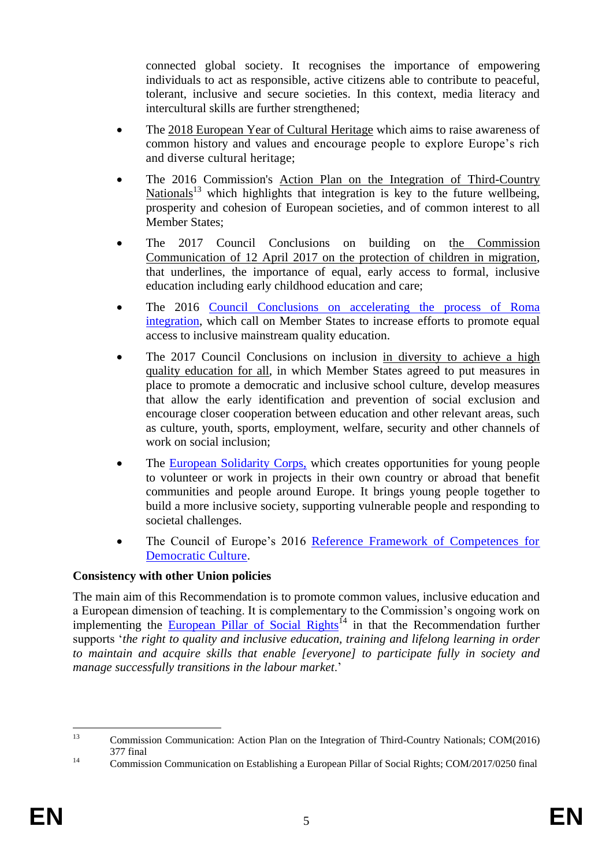connected global society. It recognises the importance of empowering individuals to act as responsible, active citizens able to contribute to peaceful, tolerant, inclusive and secure societies. In this context, media literacy and intercultural skills are further strengthened;

- The [2018 European Year of Cultural Heritage](https://ec.europa.eu/culture/european-year-cultural-heritage-2018_en) which aims to raise awareness of common history and values and encourage people to explore Europe's rich and diverse cultural heritage;
- The 2016 Commission's [Action Plan on the Integration of Third-Country](file://net1.cec.eu.int/EAC/A/A1/_From%20old%20A1%20to%20new%20A1/Post-Paris/Recommendation%20Social%20Inclusion%20and%20Common%20Values/Draft%20Outline/Commission%20Communication%20of%207%20June%202016:%20Action%20Plan%20on%20the%20integration%20of%20third%20country%20nationals;%20COM(2016)%20377.)  [Nationals](file://net1.cec.eu.int/EAC/A/A1/_From%20old%20A1%20to%20new%20A1/Post-Paris/Recommendation%20Social%20Inclusion%20and%20Common%20Values/Draft%20Outline/Commission%20Communication%20of%207%20June%202016:%20Action%20Plan%20on%20the%20integration%20of%20third%20country%20nationals;%20COM(2016)%20377.)<sup>13</sup> which highlights that integration is key to the future wellbeing, prosperity and cohesion of European societies, and of common interest to all Member States;
- The 2017 Council Conclusions on building on [the Commission](http://eur-lex.europa.eu/legal-content/DE/ALL/?uri=COM:2017:211:FIN)  [Communication of 12 April 2017 on the protection of children in migration,](http://eur-lex.europa.eu/legal-content/DE/ALL/?uri=COM:2017:211:FIN) that underlines, the importance of equal, early access to formal, inclusive education including early childhood education and care;
- The 2016 [Council Conclusions on accelerating the process of Roma](http://data.consilium.europa.eu/doc/document/ST-14294-2016-INIT/en/pdf)  [integration,](http://data.consilium.europa.eu/doc/document/ST-14294-2016-INIT/en/pdf) which call on Member States to increase efforts to promote equal access to inclusive mainstream quality education.
- The 2017 [Council Conclusions on inclusion in diversity to achieve a high](http://data.consilium.europa.eu/doc/document/ST-5741-2017-INIT/en/pdf)  [quality education for all,](http://data.consilium.europa.eu/doc/document/ST-5741-2017-INIT/en/pdf) in which Member States agreed to put measures in place to promote a democratic and inclusive school culture, develop measures that allow the early identification and prevention of social exclusion and encourage closer cooperation between education and other relevant areas, such as culture, youth, sports, employment, welfare, security and other channels of work on social inclusion;
- The [European Solidarity Corps,](https://europa.eu/youth/solidarity_en) which creates opportunities for young people to volunteer or work in projects in their own country or abroad that benefit communities and people around Europe. It brings young people together to build a more inclusive society, supporting vulnerable people and responding to societal challenges.
- The Council of Europe's 2016 Reference Framework of Competences for [Democratic Culture.](https://rm.coe.int/16806ccc07)

### **Consistency with other Union policies**

The main aim of this Recommendation is to promote common values, inclusive education and a European dimension of teaching. It is complementary to the Commission's ongoing work on implementing the [European Pillar of Social Rights](http://eur-lex.europa.eu/legal-content/EN/ALL/?uri=COM:2017:0250:FIN)<sup> $14$ </sup> in that the Recommendation further supports '*the right to quality and inclusive education, training and lifelong learning in order to maintain and acquire skills that enable [everyone] to participate fully in society and manage successfully transitions in the labour market*.'

 $13$ <sup>13</sup> Commission Communication: Action Plan on the Integration of Third-Country Nationals; COM(2016) 377 final

<sup>&</sup>lt;sup>14</sup> Commission Communication on Establishing a European Pillar of Social Rights; COM/2017/0250 final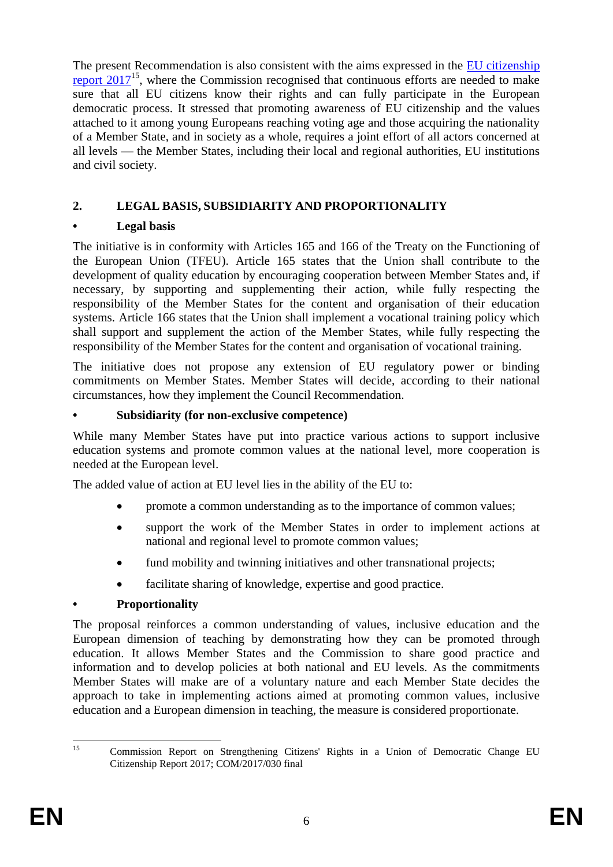The present Recommendation is also consistent with the aims expressed in the EU citizenship [report 2017](http://ec.europa.eu/newsroom/just/item-detail.cfm?item_id=51132)<sup>15</sup>, where the Commission recognised that continuous efforts are needed to make sure that all EU citizens know their rights and can fully participate in the European democratic process. It stressed that promoting awareness of EU citizenship and the values attached to it among young Europeans reaching voting age and those acquiring the nationality of a Member State, and in society as a whole, requires a joint effort of all actors concerned at all levels — the Member States, including their local and regional authorities, EU institutions and civil society.

# **2. LEGAL BASIS, SUBSIDIARITY AND PROPORTIONALITY**

# **• Legal basis**

The initiative is in conformity with Articles 165 and 166 of the Treaty on the Functioning of the European Union (TFEU). Article 165 states that the Union shall contribute to the development of quality education by encouraging cooperation between Member States and, if necessary, by supporting and supplementing their action, while fully respecting the responsibility of the Member States for the content and organisation of their education systems. Article 166 states that the Union shall implement a vocational training policy which shall support and supplement the action of the Member States, while fully respecting the responsibility of the Member States for the content and organisation of vocational training.

The initiative does not propose any extension of EU regulatory power or binding commitments on Member States. Member States will decide, according to their national circumstances, how they implement the Council Recommendation.

### **• Subsidiarity (for non-exclusive competence)**

While many Member States have put into practice various actions to support inclusive education systems and promote common values at the national level, more cooperation is needed at the European level.

The added value of action at EU level lies in the ability of the EU to:

- promote a common understanding as to the importance of common values;
- support the work of the Member States in order to implement actions at national and regional level to promote common values;
- fund mobility and twinning initiatives and other transnational projects;
- facilitate sharing of knowledge, expertise and good practice.

# **• Proportionality**

The proposal reinforces a common understanding of values, inclusive education and the European dimension of teaching by demonstrating how they can be promoted through education. It allows Member States and the Commission to share good practice and information and to develop policies at both national and EU levels. As the commitments Member States will make are of a voluntary nature and each Member State decides the approach to take in implementing actions aimed at promoting common values, inclusive education and a European dimension in teaching, the measure is considered proportionate.

 $15$ <sup>15</sup> Commission Report on Strengthening Citizens' Rights in a Union of Democratic Change EU Citizenship Report 2017; COM/2017/030 final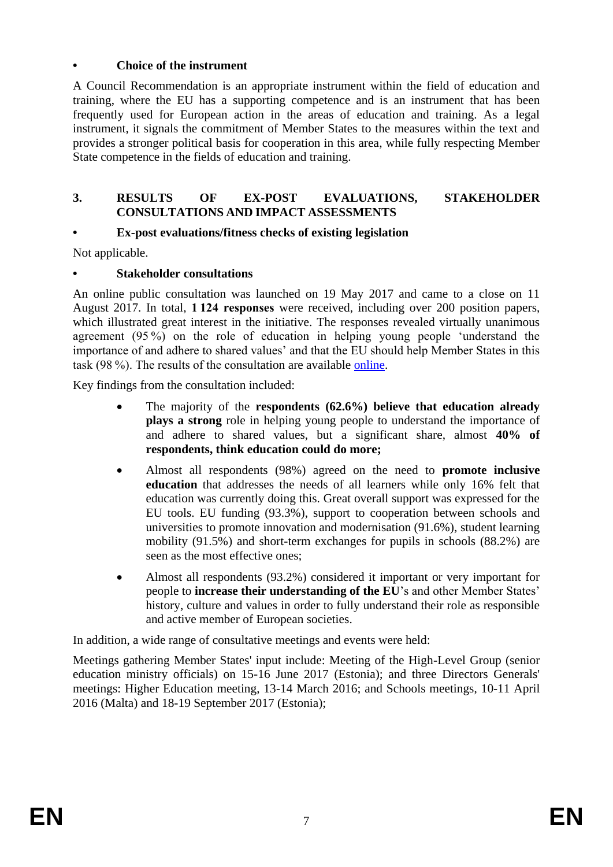### **• Choice of the instrument**

A Council Recommendation is an appropriate instrument within the field of education and training, where the EU has a supporting competence and is an instrument that has been frequently used for European action in the areas of education and training. As a legal instrument, it signals the commitment of Member States to the measures within the text and provides a stronger political basis for cooperation in this area, while fully respecting Member State competence in the fields of education and training.

#### **3. RESULTS OF EX-POST EVALUATIONS, STAKEHOLDER CONSULTATIONS AND IMPACT ASSESSMENTS**

### **• Ex-post evaluations/fitness checks of existing legislation**

Not applicable.

### **• Stakeholder consultations**

An online public consultation was launched on 19 May 2017 and came to a close on 11 August 2017. In total, **1 124 responses** were received, including over 200 position papers, which illustrated great interest in the initiative. The responses revealed virtually unanimous agreement (95 %) on the role of education in helping young people 'understand the importance of and adhere to shared values' and that the EU should help Member States in this task (98 %). The results of the consultation are available [online.](https://ec.europa.eu/info/sites/info/files/results-citizenship-consultation_en.pdf)

Key findings from the consultation included:

- The majority of the **respondents (62.6%) believe that education already plays a strong** role in helping young people to understand the importance of and adhere to shared values, but a significant share, almost **40% of respondents, think education could do more;**
- Almost all respondents (98%) agreed on the need to **promote inclusive education** that addresses the needs of all learners while only 16% felt that education was currently doing this. Great overall support was expressed for the EU tools. EU funding (93.3%), support to cooperation between schools and universities to promote innovation and modernisation (91.6%), student learning mobility (91.5%) and short-term exchanges for pupils in schools (88.2%) are seen as the most effective ones;
- Almost all respondents (93.2%) considered it important or very important for people to **increase their understanding of the EU**'s and other Member States' history, culture and values in order to fully understand their role as responsible and active member of European societies.

In addition, a wide range of consultative meetings and events were held:

Meetings gathering Member States' input include: Meeting of the High-Level Group (senior education ministry officials) on 15-16 June 2017 (Estonia); and three Directors Generals' meetings: Higher Education meeting, 13-14 March 2016; and Schools meetings, 10-11 April 2016 (Malta) and 18-19 September 2017 (Estonia);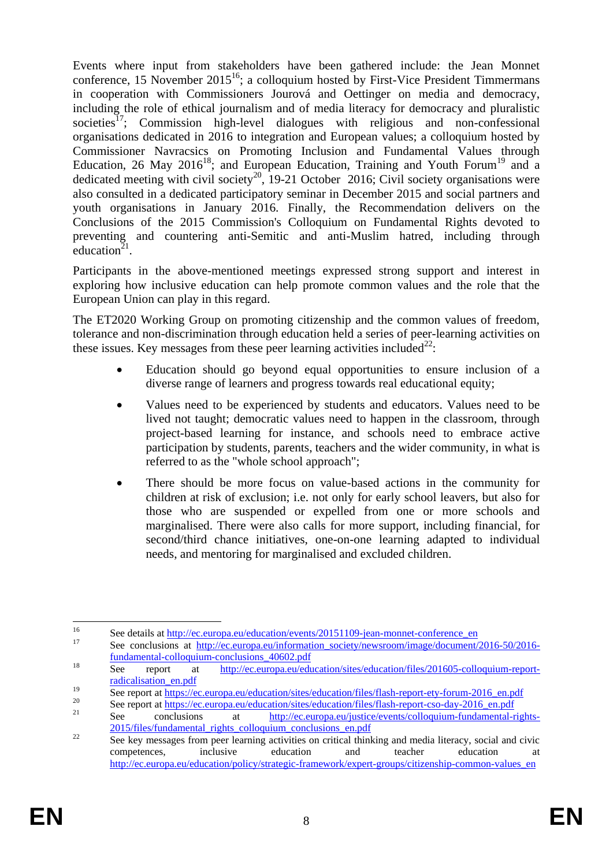Events where input from stakeholders have been gathered include: the Jean Monnet conference, 15 November 2015<sup>16</sup>; a colloquium hosted by First-Vice President Timmermans in cooperation with Commissioners Jourová and Oettinger on media and democracy, including the role of ethical journalism and of media literacy for democracy and pluralistic societies<sup>17</sup>; Commission high-level dialogues with religious and non-confessional organisations dedicated in 2016 to integration and European values; a colloquium hosted by Commissioner Navracsics on Promoting Inclusion and Fundamental Values through Education, 26 May 2016<sup>18</sup>; and European Education, Training and Youth Forum<sup>19</sup> and a dedicated meeting with civil society<sup>20</sup>, 19-21 October 2016; Civil society organisations were also consulted in a dedicated participatory seminar in December 2015 and social partners and youth organisations in January 2016. Finally, the Recommendation delivers on the Conclusions of the 2015 Commission's Colloquium on Fundamental Rights devoted to preventing and countering anti-Semitic and anti-Muslim hatred, including through education<sup>21</sup>.

Participants in the above-mentioned meetings expressed strong support and interest in exploring how inclusive education can help promote common values and the role that the European Union can play in this regard.

The ET2020 Working Group on promoting citizenship and the common values of freedom, tolerance and non-discrimination through education held a series of peer-learning activities on these issues. Key messages from these peer learning activities included<sup>22</sup>:

- Education should go beyond equal opportunities to ensure inclusion of a diverse range of learners and progress towards real educational equity;
- Values need to be experienced by students and educators. Values need to be lived not taught; democratic values need to happen in the classroom, through project-based learning for instance, and schools need to embrace active participation by students, parents, teachers and the wider community, in what is referred to as the "whole school approach";
- There should be more focus on value-based actions in the community for children at risk of exclusion; i.e. not only for early school leavers, but also for those who are suspended or expelled from one or more schools and marginalised. There were also calls for more support, including financial, for second/third chance initiatives, one-on-one learning adapted to individual needs, and mentoring for marginalised and excluded children.

 $16$ <sup>16</sup> See details at  $\frac{http://ec.europa.eu/education/events/20151109-jean-monnet-conferenceen}{p}$ See conclusions at [http://ec.europa.eu/information\\_society/newsroom/image/document/2016-50/2016](http://ec.europa.eu/information_society/newsroom/image/document/2016-50/2016-fundamental-colloquium-conclusions_40602.pdf) [fundamental-colloquium-conclusions\\_40602.pdf](http://ec.europa.eu/information_society/newsroom/image/document/2016-50/2016-fundamental-colloquium-conclusions_40602.pdf)

<sup>18</sup> See report at [http://ec.europa.eu/education/sites/education/files/201605-colloquium-report](http://ec.europa.eu/education/sites/education/files/201605-colloquium-report-radicalisation_en.pdf)[radicalisation\\_en.pdf](http://ec.europa.eu/education/sites/education/files/201605-colloquium-report-radicalisation_en.pdf)

<sup>19</sup> See report at [https://ec.europa.eu/education/sites/education/files/flash-report-ety-forum-2016\\_en.pdf](https://ec.europa.eu/education/sites/education/files/flash-report-ety-forum-2016_en.pdf)

<sup>&</sup>lt;sup>20</sup> See report at <u>https://ec.europa.eu/education/sites/education/files/flash-report-cso-day-2016\_en.pdf</u>

<sup>21</sup> See conclusions at [http://ec.europa.eu/justice/events/colloquium-fundamental-rights-](http://ec.europa.eu/justice/events/colloquium-fundamental-rights-2015/files/fundamental_rights_colloquium_conclusions_en.pdf)[2015/files/fundamental\\_rights\\_colloquium\\_conclusions\\_en.pdf](http://ec.europa.eu/justice/events/colloquium-fundamental-rights-2015/files/fundamental_rights_colloquium_conclusions_en.pdf)

<sup>&</sup>lt;sup>22</sup> See key messages from peer learning activities on critical thinking and media literacy, social and civic competences, inclusive education and teacher education at [http://ec.europa.eu/education/policy/strategic-framework/expert-groups/citizenship-common-values\\_en](http://ec.europa.eu/education/policy/strategic-framework/expert-groups/citizenship-common-values_en)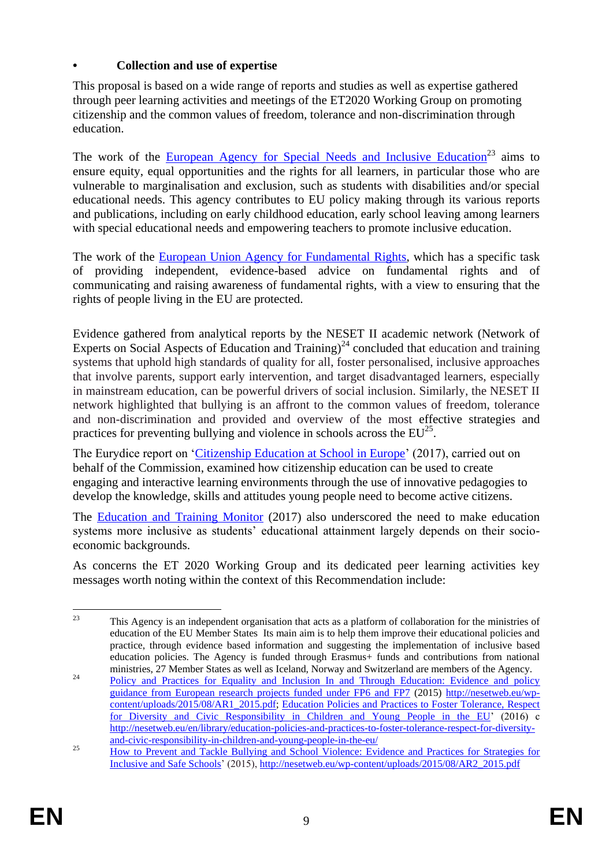## **• Collection and use of expertise**

This proposal is based on a wide range of reports and studies as well as expertise gathered through peer learning activities and meetings of the ET2020 Working Group on promoting citizenship and the common values of freedom, tolerance and non-discrimination through education.

The work of the [European Agency for Special Needs and Inclusive Education](https://www.european-agency.org/)<sup>23</sup> aims to ensure equity, equal opportunities and the rights for all learners, in particular those who are vulnerable to marginalisation and exclusion, such as students with disabilities and/or special educational needs. This agency contributes to EU policy making through its various reports and publications, including on early childhood education, early school leaving among learners with special educational needs and empowering teachers to promote inclusive education.

The work of the [European Union Agency for Fundamental Rights,](http://fra.europa.eu/en/about-fra) which has a specific task of providing independent, evidence-based advice on fundamental rights and of communicating and raising awareness of fundamental rights, with a view to ensuring that the rights of people living in the EU are protected.

Evidence gathered from analytical reports by the NESET II academic network (Network of Experts on Social Aspects of Education and Training)<sup>24</sup> concluded that education and training systems that uphold high standards of quality for all, foster personalised, inclusive approaches that involve parents, support early intervention, and target disadvantaged learners, especially in mainstream education, can be powerful drivers of social inclusion. Similarly, the NESET II network highlighted that bullying is an affront to the common values of freedom, tolerance and non-discrimination and provided and overview of the most effective strategies and practices for preventing bullying and violence in schools across the  $EU^{25}$ .

The Eurydice report on ['Citizenship Education at School in Europe'](https://webgate.ec.europa.eu/fpfis/mwikis/eurydice/images/9/97/Citizenship_Study_EN_2017.pdf) (2017), carried out on behalf of the Commission, examined how citizenship education can be used to create engaging and interactive learning environments through the use of innovative pedagogies to develop the knowledge, skills and attitudes young people need to become active citizens.

The [Education and Training Monitor](https://ec.europa.eu/education/sites/education/files/monitor2017_en.pdf) (2017) also underscored the need to make education systems more inclusive as students' educational attainment largely depends on their socioeconomic backgrounds.

As concerns the ET 2020 Working Group and its dedicated peer learning activities key messages worth noting within the context of this Recommendation include:

 $23$ <sup>23</sup> This Agency is an independent organisation that acts as a platform of collaboration for the ministries of education of the EU Member States Its main aim is to help them improve their educational policies and practice, through evidence based information and suggesting the implementation of inclusive based education policies. The Agency is funded through Erasmus+ funds and contributions from national ministries, 27 Member States as well as Iceland, Norway and Switzerland are members of the Agency.

<sup>&</sup>lt;sup>24</sup> Policy and Practices for Equality and Inclusion In and Through Education: Evidence and policy [guidance from European research projects funded under FP6 and FP7](http://nesetweb.eu/wp-content/uploads/2015/08/AR1_2015.pdf) (2015) [http://nesetweb.eu/wp](http://nesetweb.eu/wp-content/uploads/2015/08/AR1_2015.pdf)[content/uploads/2015/08/AR1\\_2015.pdf;](http://nesetweb.eu/wp-content/uploads/2015/08/AR1_2015.pdf) [Education Policies and Practices to Foster Tolerance, Respect](file:///C:/Users/Liebeth/Downloads/Education%20and%20training%20systems%20that%20uphold%20high%20standards%20of%20quality%20for%20all,%20foster%20personalised,%20inclusive%20approaches,%20support%20early%20intervention,%20and%20target%20disadvantaged%20learners,%20can%20be%20powerful%20drivers%20of%20social%20inclusion;)  [for Diversity and Civic Responsibility in Children and Young People in the EU'](file:///C:/Users/Liebeth/Downloads/Education%20and%20training%20systems%20that%20uphold%20high%20standards%20of%20quality%20for%20all,%20foster%20personalised,%20inclusive%20approaches,%20support%20early%20intervention,%20and%20target%20disadvantaged%20learners,%20can%20be%20powerful%20drivers%20of%20social%20inclusion;) (2016) c [http://nesetweb.eu/en/library/education-policies-and-practices-to-foster-tolerance-respect-for-diversity](http://nesetweb.eu/en/library/education-policies-and-practices-to-foster-tolerance-respect-for-diversity-and-civic-responsibility-in-children-and-young-people-in-the-eu/)[and-civic-responsibility-in-children-and-young-people-in-the-eu/](http://nesetweb.eu/en/library/education-policies-and-practices-to-foster-tolerance-respect-for-diversity-and-civic-responsibility-in-children-and-young-people-in-the-eu/)

<sup>&</sup>lt;sup>25</sup> How to Prevent and Tackle Bullying and School Violence: Evidence and Practices for Strategies for [Inclusive and Safe Schools'](http://nesetweb.eu/wp-content/uploads/2015/08/AR2_2015.pdf) (2015), [http://nesetweb.eu/wp-content/uploads/2015/08/AR2\\_2015.pdf](http://nesetweb.eu/wp-content/uploads/2015/08/AR2_2015.pdf)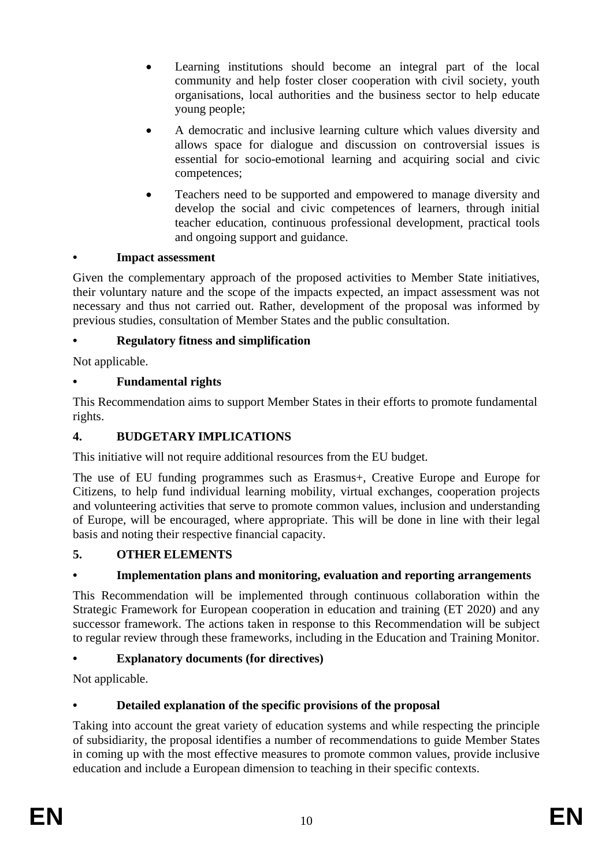- Learning institutions should become an integral part of the local community and help foster closer cooperation with civil society, youth organisations, local authorities and the business sector to help educate young people;
- A democratic and inclusive learning culture which values diversity and allows space for dialogue and discussion on controversial issues is essential for socio-emotional learning and acquiring social and civic competences;
- Teachers need to be supported and empowered to manage diversity and develop the social and civic competences of learners, through initial teacher education, continuous professional development, practical tools and ongoing support and guidance.

## **• Impact assessment**

Given the complementary approach of the proposed activities to Member State initiatives, their voluntary nature and the scope of the impacts expected, an impact assessment was not necessary and thus not carried out. Rather, development of the proposal was informed by previous studies, consultation of Member States and the public consultation.

## **• Regulatory fitness and simplification**

Not applicable.

# **• Fundamental rights**

This Recommendation aims to support Member States in their efforts to promote fundamental rights.

## **4. BUDGETARY IMPLICATIONS**

This initiative will not require additional resources from the EU budget.

The use of EU funding programmes such as Erasmus+, Creative Europe and Europe for Citizens, to help fund individual learning mobility, virtual exchanges, cooperation projects and volunteering activities that serve to promote common values, inclusion and understanding of Europe, will be encouraged, where appropriate. This will be done in line with their legal basis and noting their respective financial capacity.

# **5. OTHER ELEMENTS**

# **• Implementation plans and monitoring, evaluation and reporting arrangements**

This Recommendation will be implemented through continuous collaboration within the Strategic Framework for European cooperation in education and training (ET 2020) and any successor framework. The actions taken in response to this Recommendation will be subject to regular review through these frameworks, including in the Education and Training Monitor.

# **• Explanatory documents (for directives)**

Not applicable.

# **• Detailed explanation of the specific provisions of the proposal**

Taking into account the great variety of education systems and while respecting the principle of subsidiarity, the proposal identifies a number of recommendations to guide Member States in coming up with the most effective measures to promote common values, provide inclusive education and include a European dimension to teaching in their specific contexts.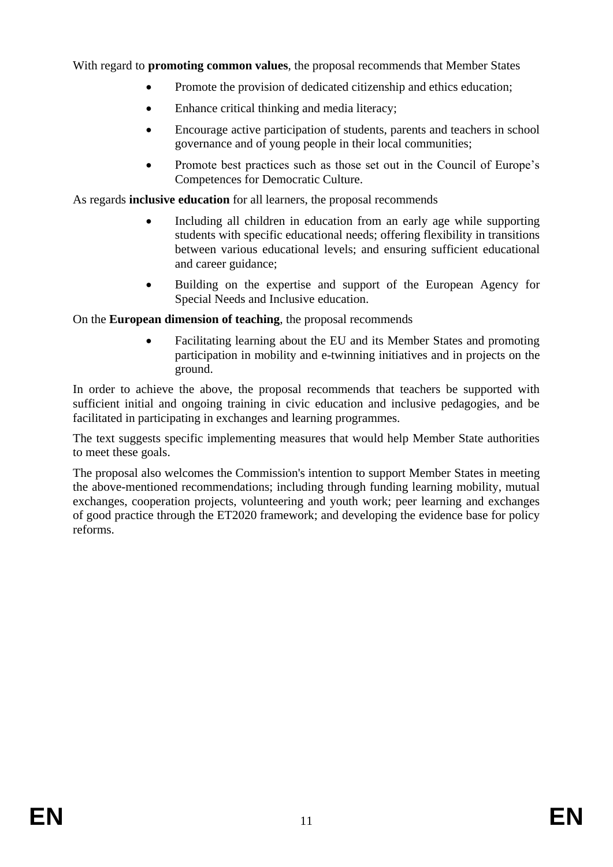With regard to **promoting common values**, the proposal recommends that Member States

- Promote the provision of dedicated citizenship and ethics education;
- Enhance critical thinking and media literacy:
- Encourage active participation of students, parents and teachers in school governance and of young people in their local communities;
- Promote best practices such as those set out in the Council of Europe's Competences for Democratic Culture.

As regards **inclusive education** for all learners, the proposal recommends

- Including all children in education from an early age while supporting students with specific educational needs; offering flexibility in transitions between various educational levels; and ensuring sufficient educational and career guidance;
- Building on the expertise and support of the European Agency for Special Needs and Inclusive education.

On the **European dimension of teaching**, the proposal recommends

 Facilitating learning about the EU and its Member States and promoting participation in mobility and e-twinning initiatives and in projects on the ground.

In order to achieve the above, the proposal recommends that teachers be supported with sufficient initial and ongoing training in civic education and inclusive pedagogies, and be facilitated in participating in exchanges and learning programmes.

The text suggests specific implementing measures that would help Member State authorities to meet these goals.

The proposal also welcomes the Commission's intention to support Member States in meeting the above-mentioned recommendations; including through funding learning mobility, mutual exchanges, cooperation projects, volunteering and youth work; peer learning and exchanges of good practice through the ET2020 framework; and developing the evidence base for policy reforms.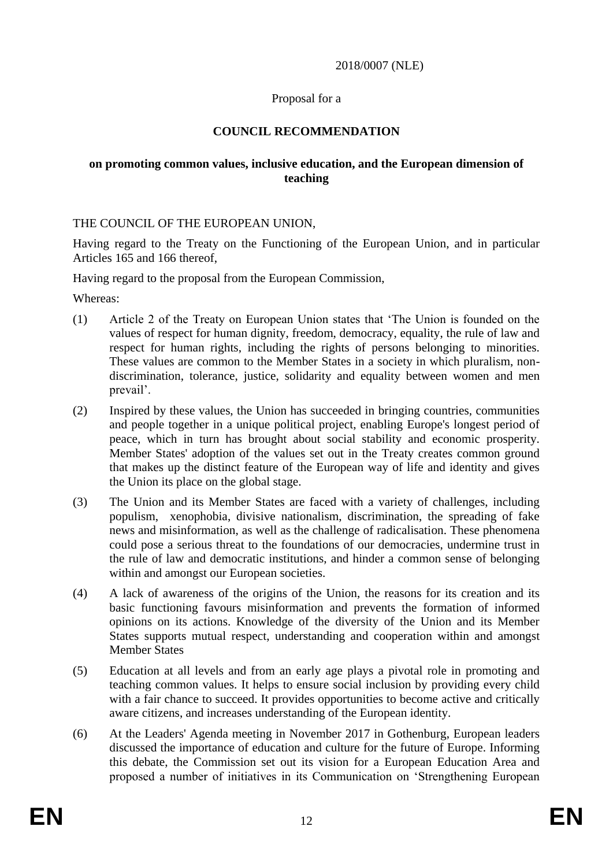#### 2018/0007 (NLE)

### Proposal for a

## **COUNCIL RECOMMENDATION**

#### **on promoting common values, inclusive education, and the European dimension of teaching**

#### THE COUNCIL OF THE EUROPEAN UNION,

Having regard to the Treaty on the Functioning of the European Union, and in particular Articles 165 and 166 thereof,

Having regard to the proposal from the European Commission,

Whereas:

- (1) Article 2 of the Treaty on European Union states that 'The Union is founded on the values of respect for human dignity, freedom, democracy, equality, the rule of law and respect for human rights, including the rights of persons belonging to minorities. These values are common to the Member States in a society in which pluralism, nondiscrimination, tolerance, justice, solidarity and equality between women and men prevail'.
- (2) Inspired by these values, the Union has succeeded in bringing countries, communities and people together in a unique political project, enabling Europe's longest period of peace, which in turn has brought about social stability and economic prosperity. Member States' adoption of the values set out in the Treaty creates common ground that makes up the distinct feature of the European way of life and identity and gives the Union its place on the global stage.
- (3) The Union and its Member States are faced with a variety of challenges, including populism, xenophobia, divisive nationalism, discrimination, the spreading of fake news and misinformation, as well as the challenge of radicalisation. These phenomena could pose a serious threat to the foundations of our democracies, undermine trust in the rule of law and democratic institutions, and hinder a common sense of belonging within and amongst our European societies.
- (4) A lack of awareness of the origins of the Union, the reasons for its creation and its basic functioning favours misinformation and prevents the formation of informed opinions on its actions. Knowledge of the diversity of the Union and its Member States supports mutual respect, understanding and cooperation within and amongst Member States
- (5) Education at all levels and from an early age plays a pivotal role in promoting and teaching common values. It helps to ensure social inclusion by providing every child with a fair chance to succeed. It provides opportunities to become active and critically aware citizens, and increases understanding of the European identity.
- (6) At the Leaders' Agenda meeting in November 2017 in Gothenburg, European leaders discussed the importance of education and culture for the future of Europe. Informing this debate, the Commission set out its vision for a European Education Area and proposed a number of initiatives in its Communication on 'Strengthening European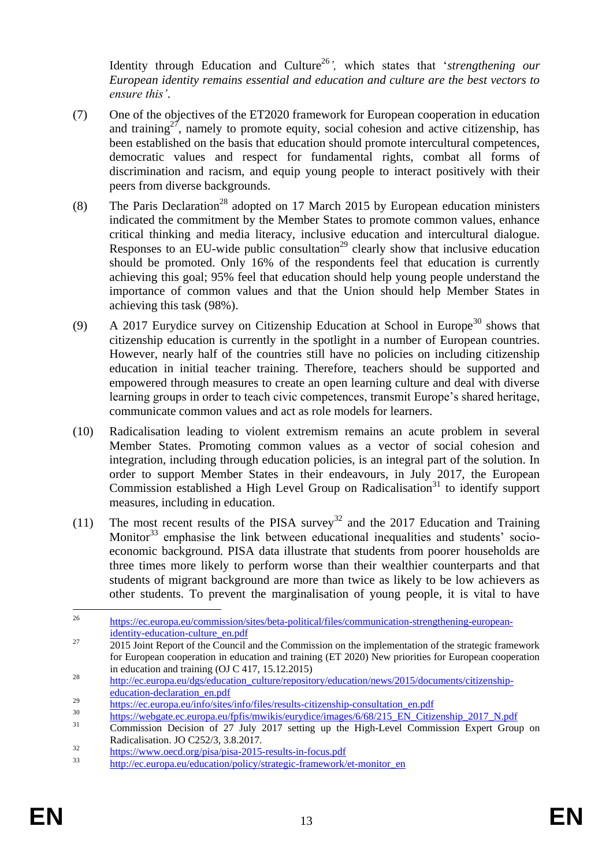Identity through Education and Culture <sup>26</sup>*',* which states that '*strengthening our European identity remains essential and education and culture are the best vectors to ensure this'*.

- (7) One of the objectives of the ET2020 framework for European cooperation in education and training<sup>27</sup>, namely to promote equity, social cohesion and active citizenship, has been established on the basis that education should promote intercultural competences, democratic values and respect for fundamental rights, combat all forms of discrimination and racism, and equip young people to interact positively with their peers from diverse backgrounds.
- (8) The Paris Declaration<sup>28</sup> adopted on 17 March 2015 by European education ministers indicated the commitment by the Member States to promote common values, enhance critical thinking and media literacy, inclusive education and intercultural dialogue. Responses to an EU-wide public consultation<sup>29</sup> clearly show that inclusive education should be promoted. Only 16% of the respondents feel that education is currently achieving this goal; 95% feel that education should help young people understand the importance of common values and that the Union should help Member States in achieving this task (98%).
- (9) A 2017 Eurydice survey on Citizenship Education at School in Europe<sup>30</sup> shows that citizenship education is currently in the spotlight in a number of European countries. However, nearly half of the countries still have no policies on including citizenship education in initial teacher training. Therefore, teachers should be supported and empowered through measures to create an open learning culture and deal with diverse learning groups in order to teach civic competences, transmit Europe's shared heritage, communicate common values and act as role models for learners.
- (10) Radicalisation leading to violent extremism remains an acute problem in several Member States. Promoting common values as a vector of social cohesion and integration, including through education policies, is an integral part of the solution. In order to support Member States in their endeavours, in July 2017, the European Commission established a High Level Group on Radicalisation<sup>31</sup> to identify support measures, including in education.
- (11) The most recent results of the PISA survey<sup>32</sup> and the 2017 Education and Training Monitor<sup>33</sup> emphasise the link between educational inequalities and students' socioeconomic background. PISA data illustrate that students from poorer households are three times more likely to perform worse than their wealthier counterparts and that students of migrant background are more than twice as likely to be low achievers as other students. To prevent the marginalisation of young people, it is vital to have

 $26$ <sup>26</sup> [https://ec.europa.eu/commission/sites/beta-political/files/communication-strengthening-european](https://ec.europa.eu/commission/sites/beta-political/files/communication-strengthening-european-identity-education-culture_en.pdf)[identity-education-culture\\_en.pdf](https://ec.europa.eu/commission/sites/beta-political/files/communication-strengthening-european-identity-education-culture_en.pdf)

<sup>&</sup>lt;sup>27</sup> <sup>2015</sup> Joint Report of the Council and the Commission on the implementation of the strategic framework for European cooperation in education and training (ET 2020) New priorities for European cooperation in education and training (OJ C 417, 15.12.2015)

<sup>28</sup> [http://ec.europa.eu/dgs/education\\_culture/repository/education/news/2015/documents/citizenship](http://ec.europa.eu/dgs/education_culture/repository/education/news/2015/documents/citizenship-education-declaration_en.pdf)[education-declaration\\_en.pdf](http://ec.europa.eu/dgs/education_culture/repository/education/news/2015/documents/citizenship-education-declaration_en.pdf)

<sup>&</sup>lt;sup>29</sup> [https://ec.europa.eu/info/sites/info/files/results-citizenship-consultation\\_en.pdf](https://ec.europa.eu/info/sites/info/files/results-citizenship-consultation_en.pdf)

<sup>&</sup>lt;sup>30</sup> [https://webgate.ec.europa.eu/fpfis/mwikis/eurydice/images/6/68/215\\_EN\\_Citizenship\\_2017\\_N.pdf](https://webgate.ec.europa.eu/fpfis/mwikis/eurydice/images/6/68/215_EN_Citizenship_2017_N.pdf)

<sup>31</sup> Commission Decision of 27 July 2017 setting up the High-Level Commission Expert Group on Radicalisation. JO C252/3, 3.8.2017.

 $\frac{32}{\text{https://www.oecd.org/pisa/pisa-2015-results-in-focus.pdf}}$  $\frac{32}{\text{https://www.oecd.org/pisa/pisa-2015-results-in-focus.pdf}}$  $\frac{32}{\text{https://www.oecd.org/pisa/pisa-2015-results-in-focus.pdf}}$ 

[http://ec.europa.eu/education/policy/strategic-framework/et-monitor\\_en](http://ec.europa.eu/education/policy/strategic-framework/et-monitor_en)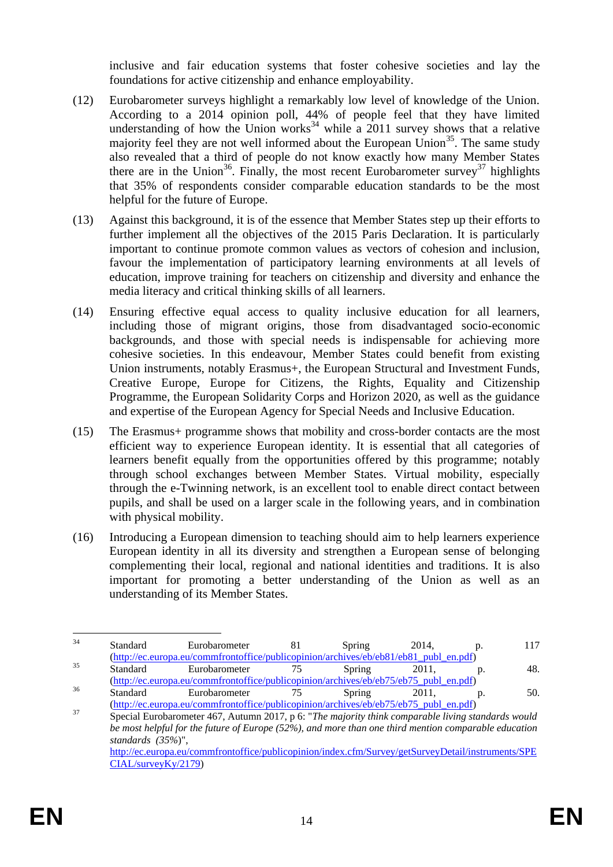inclusive and fair education systems that foster cohesive societies and lay the foundations for active citizenship and enhance employability.

- (12) Eurobarometer surveys highlight a remarkably low level of knowledge of the Union. According to a 2014 opinion poll, 44% of people feel that they have limited understanding of how the Union works<sup>34</sup> while a 2011 survey shows that a relative majority feel they are not well informed about the European Union<sup>35</sup>. The same study also revealed that a third of people do not know exactly how many Member States there are in the Union<sup>36</sup>. Finally, the most recent Eurobarometer survey<sup>37</sup> highlights that 35% of respondents consider comparable education standards to be the most helpful for the future of Europe.
- (13) Against this background, it is of the essence that Member States step up their efforts to further implement all the objectives of the 2015 Paris Declaration. It is particularly important to continue promote common values as vectors of cohesion and inclusion, favour the implementation of participatory learning environments at all levels of education, improve training for teachers on citizenship and diversity and enhance the media literacy and critical thinking skills of all learners.
- (14) Ensuring effective equal access to quality inclusive education for all learners, including those of migrant origins, those from disadvantaged socio-economic backgrounds, and those with special needs is indispensable for achieving more cohesive societies. In this endeavour, Member States could benefit from existing Union instruments, notably Erasmus+, the European Structural and Investment Funds, Creative Europe, Europe for Citizens, the Rights, Equality and Citizenship Programme, the European Solidarity Corps and Horizon 2020, as well as the guidance and expertise of the European Agency for Special Needs and Inclusive Education.
- (15) The Erasmus+ programme shows that mobility and cross-border contacts are the most efficient way to experience European identity. It is essential that all categories of learners benefit equally from the opportunities offered by this programme; notably through school exchanges between Member States. Virtual mobility, especially through the e-Twinning network, is an excellent tool to enable direct contact between pupils, and shall be used on a larger scale in the following years, and in combination with physical mobility.
- (16) Introducing a European dimension to teaching should aim to help learners experience European identity in all its diversity and strengthen a European sense of belonging complementing their local, regional and national identities and traditions. It is also important for promoting a better understanding of the Union as well as an understanding of its Member States.

 $34$  $34$  Standard Eurobarometer 81 Spring 2014, p. 117 [\(http://ec.europa.eu/commfrontoffice/publicopinion/archives/eb/eb81/eb81\\_publ\\_en.pdf\)](http://ec.europa.eu/commfrontoffice/publicopinion/archives/eb/eb81/eb81_publ_en.pdf)  $35$  Standard Eurobarometer  $75$  Spring  $2011$ , p. 48. [\(http://ec.europa.eu/commfrontoffice/publicopinion/archives/eb/eb75/eb75\\_publ\\_en.pdf\)](http://ec.europa.eu/commfrontoffice/publicopinion/archives/eb/eb75/eb75_publ_en.pdf)<br>Standard Eurobarometer 75 Spring 2011. <sup>36</sup> Standard Eurobarometer 75 Spring 2011, p. 50.

[<sup>\(</sup>http://ec.europa.eu/commfrontoffice/publicopinion/archives/eb/eb75/eb75\\_publ\\_en.pdf\)](http://ec.europa.eu/commfrontoffice/publicopinion/archives/eb/eb75/eb75_publ_en.pdf) <sup>37</sup> Special Eurobarometer 467, Autumn 2017, p 6: "*The majority think comparable living standards would be most helpful for the future of Europe (52%), and more than one third mention comparable education standards (35%*)", [http://ec.europa.eu/commfrontoffice/publicopinion/index.cfm/Survey/getSurveyDetail/instruments/SPE](http://ec.europa.eu/commfrontoffice/publicopinion/index.cfm/Survey/getSurveyDetail/instruments/SPECIAL/surveyKy/2179) [CIAL/surveyKy/2179\)](http://ec.europa.eu/commfrontoffice/publicopinion/index.cfm/Survey/getSurveyDetail/instruments/SPECIAL/surveyKy/2179)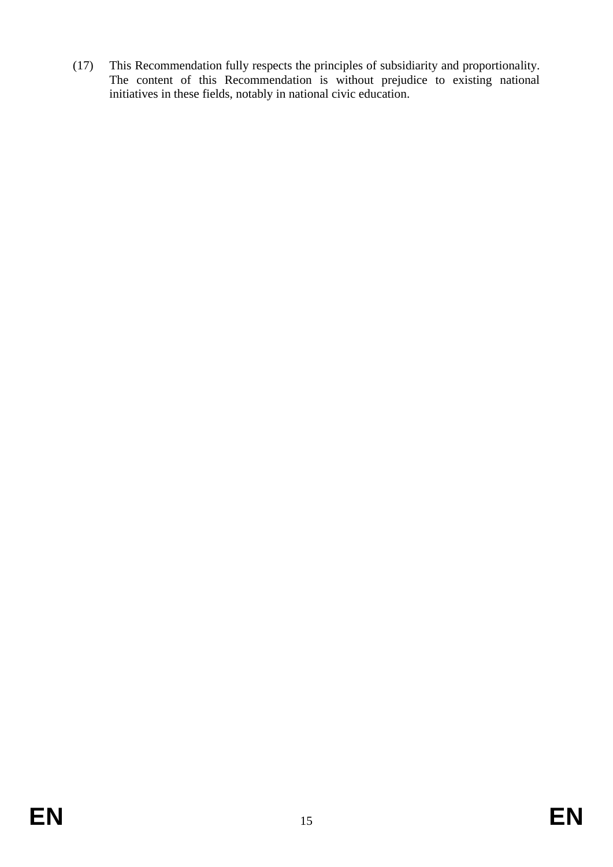(17) This Recommendation fully respects the principles of subsidiarity and proportionality. The content of this Recommendation is without prejudice to existing national initiatives in these fields, notably in national civic education.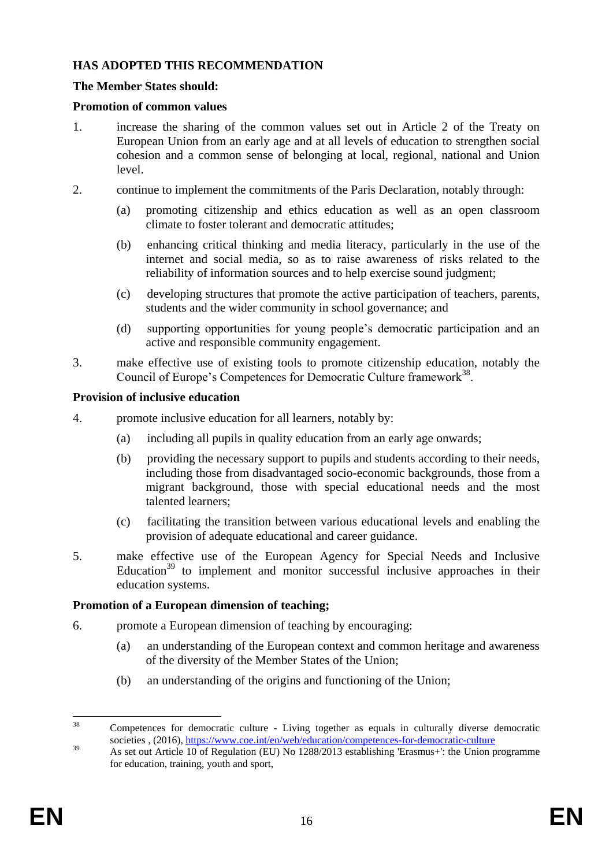### **HAS ADOPTED THIS RECOMMENDATION**

#### **The Member States should:**

#### **Promotion of common values**

- 1. increase the sharing of the common values set out in Article 2 of the Treaty on European Union from an early age and at all levels of education to strengthen social cohesion and a common sense of belonging at local, regional, national and Union level.
- 2. continue to implement the commitments of the Paris Declaration, notably through:
	- (a) promoting citizenship and ethics education as well as an open classroom climate to foster tolerant and democratic attitudes;
	- (b) enhancing critical thinking and media literacy, particularly in the use of the internet and social media, so as to raise awareness of risks related to the reliability of information sources and to help exercise sound judgment;
	- (c) developing structures that promote the active participation of teachers, parents, students and the wider community in school governance; and
	- (d) supporting opportunities for young people's democratic participation and an active and responsible community engagement.
- 3. make effective use of existing tools to promote citizenship education, notably the Council of Europe's Competences for Democratic Culture framework<sup>38</sup>.

#### **Provision of inclusive education**

- 4. promote inclusive education for all learners, notably by:
	- (a) including all pupils in quality education from an early age onwards;
	- (b) providing the necessary support to pupils and students according to their needs, including those from disadvantaged socio-economic backgrounds, those from a migrant background, those with special educational needs and the most talented learners;
	- (c) facilitating the transition between various educational levels and enabling the provision of adequate educational and career guidance.
- 5. make effective use of the European Agency for Special Needs and Inclusive Education $39$  to implement and monitor successful inclusive approaches in their education systems.

#### **Promotion of a European dimension of teaching;**

- 6. promote a European dimension of teaching by encouraging:
	- (a) an understanding of the European context and common heritage and awareness of the diversity of the Member States of the Union;
	- (b) an understanding of the origins and functioning of the Union;

 $38$ <sup>38</sup> Competences for democratic culture - Living together as equals in culturally diverse democratic societies , (2016),<https://www.coe.int/en/web/education/competences-for-democratic-culture>

<sup>&</sup>lt;sup>39</sup> As set out Article 10 of Regulation (EU) No 1288/2013 establishing 'Erasmus+': the Union programme for education, training, youth and sport,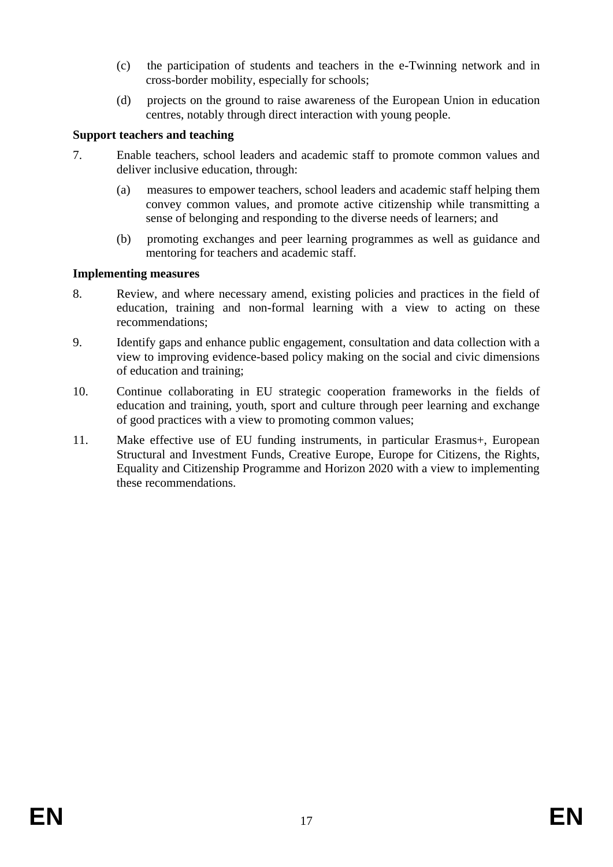- (c) the participation of students and teachers in the e-Twinning network and in cross-border mobility, especially for schools;
- (d) projects on the ground to raise awareness of the European Union in education centres, notably through direct interaction with young people.

## **Support teachers and teaching**

- 7. Enable teachers, school leaders and academic staff to promote common values and deliver inclusive education, through:
	- (a) measures to empower teachers, school leaders and academic staff helping them convey common values, and promote active citizenship while transmitting a sense of belonging and responding to the diverse needs of learners; and
	- (b) promoting exchanges and peer learning programmes as well as guidance and mentoring for teachers and academic staff.

## **Implementing measures**

- 8. Review, and where necessary amend, existing policies and practices in the field of education, training and non-formal learning with a view to acting on these recommendations;
- 9. Identify gaps and enhance public engagement, consultation and data collection with a view to improving evidence-based policy making on the social and civic dimensions of education and training;
- 10. Continue collaborating in EU strategic cooperation frameworks in the fields of education and training, youth, sport and culture through peer learning and exchange of good practices with a view to promoting common values;
- 11. Make effective use of EU funding instruments, in particular Erasmus+, European Structural and Investment Funds, Creative Europe, Europe for Citizens, the Rights, Equality and Citizenship Programme and Horizon 2020 with a view to implementing these recommendations.